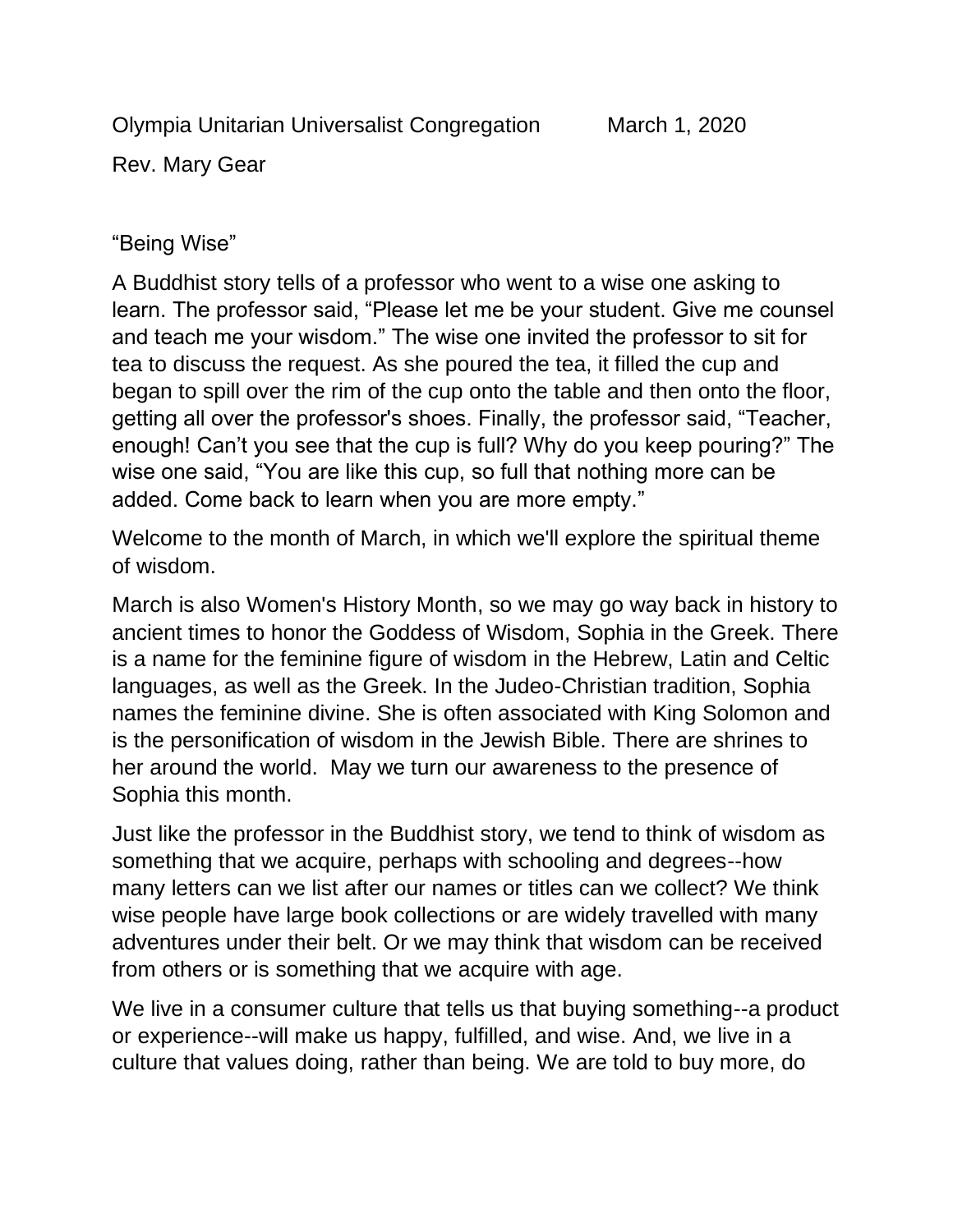Olympia Unitarian Universalist Congregation March 1, 2020

Rev. Mary Gear

## "Being Wise"

A Buddhist story tells of a professor who went to a wise one asking to learn. The professor said, "Please let me be your student. Give me counsel and teach me your wisdom." The wise one invited the professor to sit for tea to discuss the request. As she poured the tea, it filled the cup and began to spill over the rim of the cup onto the table and then onto the floor, getting all over the professor's shoes. Finally, the professor said, "Teacher, enough! Can't you see that the cup is full? Why do you keep pouring?" The wise one said, "You are like this cup, so full that nothing more can be added. Come back to learn when you are more empty."

Welcome to the month of March, in which we'll explore the spiritual theme of wisdom.

March is also Women's History Month, so we may go way back in history to ancient times to honor the Goddess of Wisdom, Sophia in the Greek. There is a name for the feminine figure of wisdom in the Hebrew, Latin and Celtic languages, as well as the Greek. In the Judeo-Christian tradition, Sophia names the feminine divine. She is often associated with King Solomon and is the personification of wisdom in the Jewish Bible. There are shrines to her around the world. May we turn our awareness to the presence of Sophia this month.

Just like the professor in the Buddhist story, we tend to think of wisdom as something that we acquire, perhaps with schooling and degrees--how many letters can we list after our names or titles can we collect? We think wise people have large book collections or are widely travelled with many adventures under their belt. Or we may think that wisdom can be received from others or is something that we acquire with age.

We live in a consumer culture that tells us that buying something--a product or experience--will make us happy, fulfilled, and wise. And, we live in a culture that values doing, rather than being. We are told to buy more, do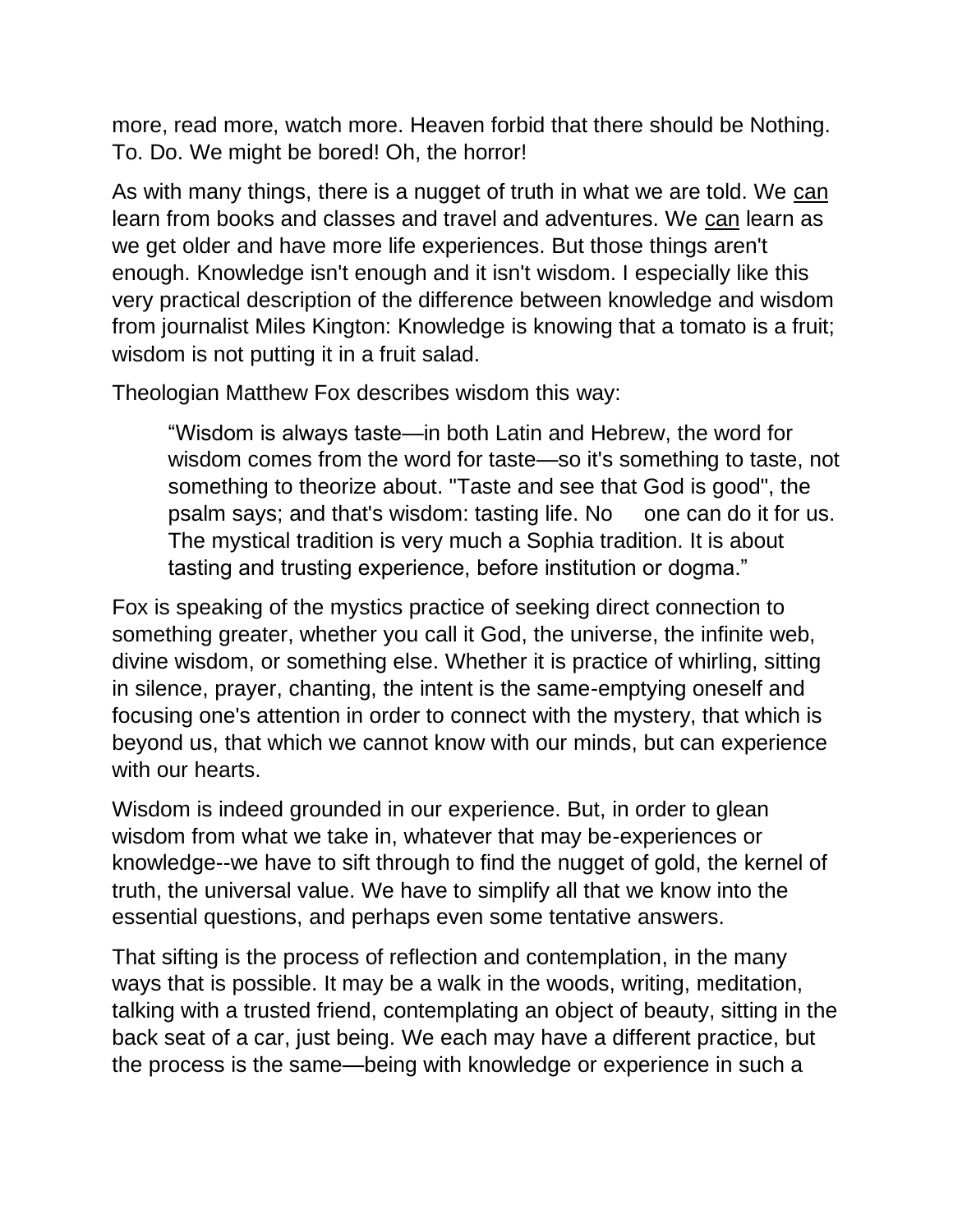more, read more, watch more. Heaven forbid that there should be Nothing. To. Do. We might be bored! Oh, the horror!

As with many things, there is a nugget of truth in what we are told. We can learn from books and classes and travel and adventures. We can learn as we get older and have more life experiences. But those things aren't enough. Knowledge isn't enough and it isn't wisdom. I especially like this very practical description of the difference between knowledge and wisdom from journalist Miles Kington: Knowledge is knowing that a tomato is a fruit; wisdom is not putting it in a fruit salad.

Theologian Matthew Fox describes wisdom this way:

"Wisdom is always taste—in both Latin and Hebrew, the word for wisdom comes from the word for taste—so it's something to taste, not something to theorize about. "Taste and see that God is good", the psalm says; and that's wisdom: tasting life. No one can do it for us. The mystical tradition is very much a Sophia tradition. It is about tasting and trusting experience, before institution or dogma."

Fox is speaking of the mystics practice of seeking direct connection to something greater, whether you call it God, the universe, the infinite web, divine wisdom, or something else. Whether it is practice of whirling, sitting in silence, prayer, chanting, the intent is the same-emptying oneself and focusing one's attention in order to connect with the mystery, that which is beyond us, that which we cannot know with our minds, but can experience with our hearts.

Wisdom is indeed grounded in our experience. But, in order to glean wisdom from what we take in, whatever that may be-experiences or knowledge--we have to sift through to find the nugget of gold, the kernel of truth, the universal value. We have to simplify all that we know into the essential questions, and perhaps even some tentative answers.

That sifting is the process of reflection and contemplation, in the many ways that is possible. It may be a walk in the woods, writing, meditation, talking with a trusted friend, contemplating an object of beauty, sitting in the back seat of a car, just being. We each may have a different practice, but the process is the same—being with knowledge or experience in such a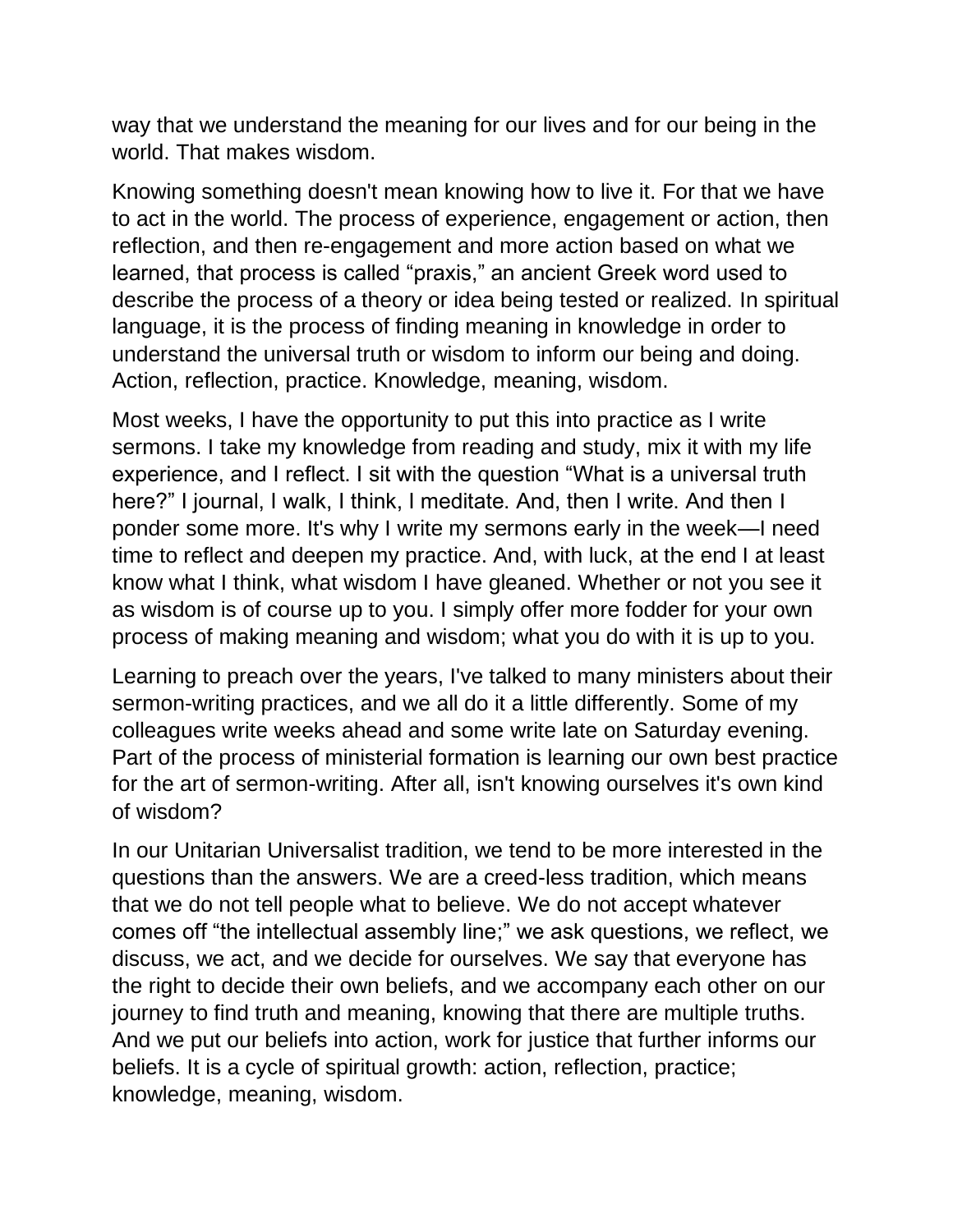way that we understand the meaning for our lives and for our being in the world. That makes wisdom.

Knowing something doesn't mean knowing how to live it. For that we have to act in the world. The process of experience, engagement or action, then reflection, and then re-engagement and more action based on what we learned, that process is called "praxis," an ancient Greek word used to describe the process of a theory or idea being tested or realized. In spiritual language, it is the process of finding meaning in knowledge in order to understand the universal truth or wisdom to inform our being and doing. Action, reflection, practice. Knowledge, meaning, wisdom.

Most weeks, I have the opportunity to put this into practice as I write sermons. I take my knowledge from reading and study, mix it with my life experience, and I reflect. I sit with the question "What is a universal truth here?" I journal, I walk, I think, I meditate. And, then I write. And then I ponder some more. It's why I write my sermons early in the week—I need time to reflect and deepen my practice. And, with luck, at the end I at least know what I think, what wisdom I have gleaned. Whether or not you see it as wisdom is of course up to you. I simply offer more fodder for your own process of making meaning and wisdom; what you do with it is up to you.

Learning to preach over the years, I've talked to many ministers about their sermon-writing practices, and we all do it a little differently. Some of my colleagues write weeks ahead and some write late on Saturday evening. Part of the process of ministerial formation is learning our own best practice for the art of sermon-writing. After all, isn't knowing ourselves it's own kind of wisdom?

In our Unitarian Universalist tradition, we tend to be more interested in the questions than the answers. We are a creed-less tradition, which means that we do not tell people what to believe. We do not accept whatever comes off "the intellectual assembly line;" we ask questions, we reflect, we discuss, we act, and we decide for ourselves. We say that everyone has the right to decide their own beliefs, and we accompany each other on our journey to find truth and meaning, knowing that there are multiple truths. And we put our beliefs into action, work for justice that further informs our beliefs. It is a cycle of spiritual growth: action, reflection, practice; knowledge, meaning, wisdom.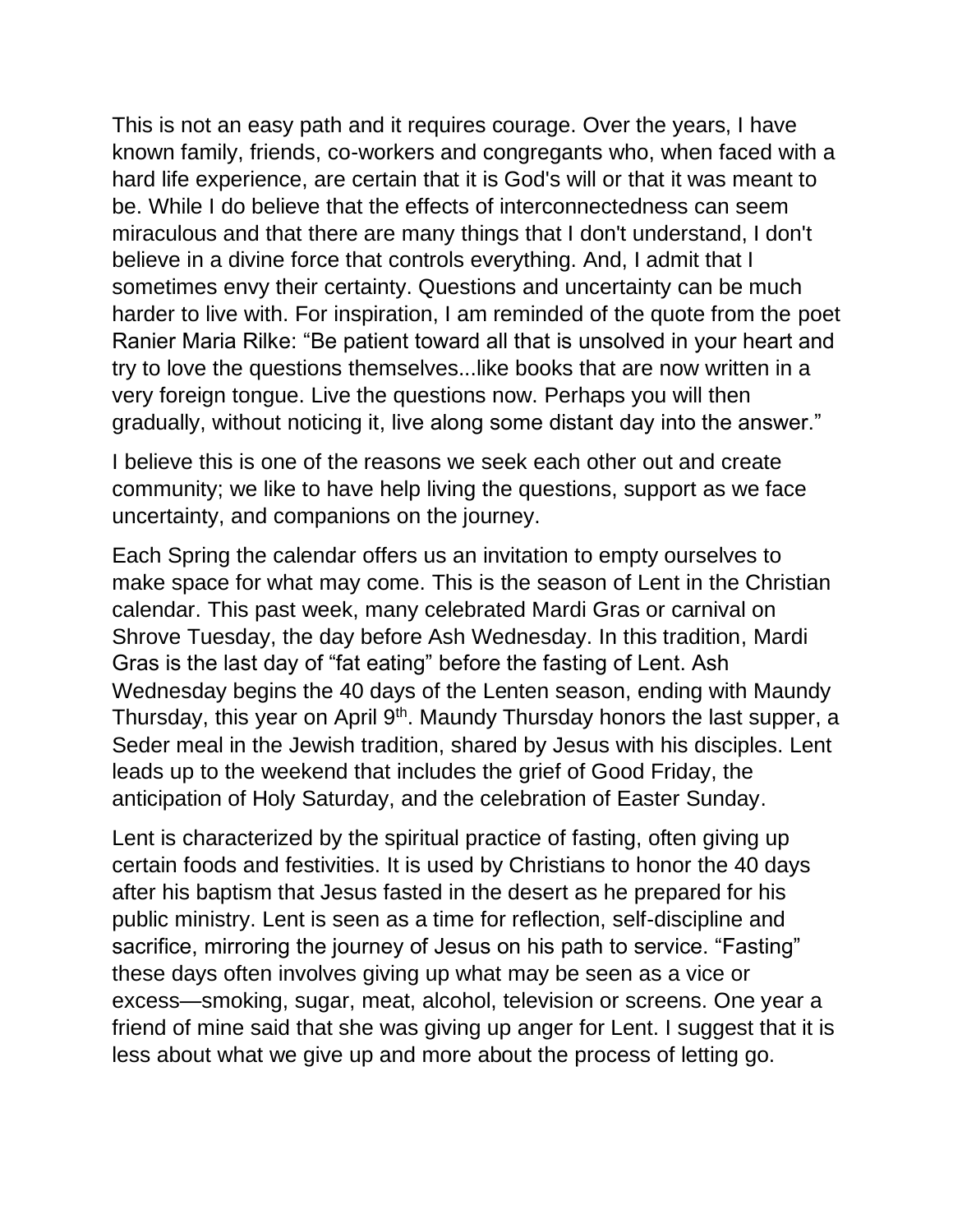This is not an easy path and it requires courage. Over the years, I have known family, friends, co-workers and congregants who, when faced with a hard life experience, are certain that it is God's will or that it was meant to be. While I do believe that the effects of interconnectedness can seem miraculous and that there are many things that I don't understand, I don't believe in a divine force that controls everything. And, I admit that I sometimes envy their certainty. Questions and uncertainty can be much harder to live with. For inspiration, I am reminded of the quote from the poet Ranier Maria Rilke: "Be patient toward all that is unsolved in your heart and try to love the questions themselves...like books that are now written in a very foreign tongue. Live the questions now. Perhaps you will then gradually, without noticing it, live along some distant day into the answer."

I believe this is one of the reasons we seek each other out and create community; we like to have help living the questions, support as we face uncertainty, and companions on the journey.

Each Spring the calendar offers us an invitation to empty ourselves to make space for what may come. This is the season of Lent in the Christian calendar. This past week, many celebrated Mardi Gras or carnival on Shrove Tuesday, the day before Ash Wednesday. In this tradition, Mardi Gras is the last day of "fat eating" before the fasting of Lent. Ash Wednesday begins the 40 days of the Lenten season, ending with Maundy Thursday, this year on April 9<sup>th</sup>. Maundy Thursday honors the last supper, a Seder meal in the Jewish tradition, shared by Jesus with his disciples. Lent leads up to the weekend that includes the grief of Good Friday, the anticipation of Holy Saturday, and the celebration of Easter Sunday.

Lent is characterized by the spiritual practice of fasting, often giving up certain foods and festivities. It is used by Christians to honor the 40 days after his baptism that Jesus fasted in the desert as he prepared for his public ministry. Lent is seen as a time for reflection, self-discipline and sacrifice, mirroring the journey of Jesus on his path to service. "Fasting" these days often involves giving up what may be seen as a vice or excess—smoking, sugar, meat, alcohol, television or screens. One year a friend of mine said that she was giving up anger for Lent. I suggest that it is less about what we give up and more about the process of letting go.